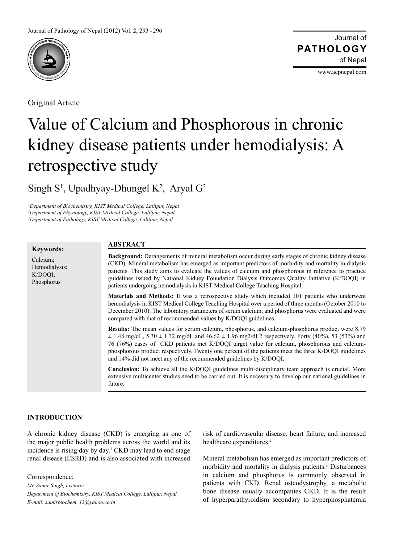

Original Article

Journal of of Nepal **PATHOLOGY**

www.acpnepal.com

# Value of Calcium and Phosphorous in chronic kidney disease patients under hemodialysis: A retrospective study

Singh  $S^1$ , Upadhyay-Dhungel K<sup>2</sup>, Aryal  $G^3$ 

*1 Department of Biochemistry, KIST Medical College, Lalitpur, Nepal 2 Department of Physiology, KIST Medical College, Lalitpur, Nepal 3 Department of Pathology, KIST Medical College, Lalitpur, Nepal*

#### **Keywords:** Calcium; Hemodialysis; K/DOQI; Phosphorus **Background:** Derangements of mineral metabolism occur during early stages of chronic kidney disease (CKD). Mineral metabolism has emerged as important predictors of morbidity and mortality in dialysis patients. This study aims to evaluate the values of calcium and phosphorous in reference to practice guidelines issued by National Kidney Foundation Dialysis Outcomes Quality Initiative (K/DOQI) in patients undergoing hemodialysis in KIST Medical College Teaching Hospital. **Materials and Methods:** It was a retrospective study which included 101 patients who underwent hemodialysis in KIST Medical College Teaching Hospital over a period of three months (October 2010 to December 2010). The laboratory parameters of serum calcium, and phosphorus were evaluated and were compared with that of recommended values by K/DOQI guidelines. **Results:** The mean values for serum calcium, phosphorus, and calcium-phosphorus product were 8.79  $\pm$  1.48 mg/dL, 5.30  $\pm$  1.32 mg/dL and 46.62  $\pm$  1.96 mg2/dL2 respectively. Forty (40%), 53 (53%) and 76 (76%) cases of CKD patients met K/DOQI target value for calcium, phosphorous and calciumphosphorous product respectively. Twenty one percent of the patients meet the three K/DOQI guidelines and 14% did not meet any of the recommended guidelines by K/DOQI. **Conclusion:** To achieve all the K/DOQI guidelines multi-disciplinary team approach is crucial. More extensive multicenter studies need to be carried out. It is necessary to develop our national guidelines in future. **ABSTRACT**

# **INTRODUCTION**

A chronic kidney disease (CKD) is emerging as one of the major public health problems across the world and its incidence is rising day by day.<sup>1</sup> CKD may lead to end-stage renal disease (ESRD) and is also associated with increased

Correspondence:

*Mr. Samir Singh, Lecturer*

risk of cardiovascular disease, heart failure, and increased healthcare expenditures.<sup>2</sup>

Mineral metabolism has emerged as important predictors of morbidity and mortality in dialysis patients.<sup>3</sup> Disturbances in calcium and phosphorus is commonly observed in patients with CKD. Renal osteodystrophy, a metabolic bone disease usually accompanies CKD. It is the result of hyperparathyroidism secondary to hyperphosphatemia

*Department of Biochemistry, KIST Medical College, Lalitpur, Nepal E-mail: samirbiochem\_13@yahoo.co.in*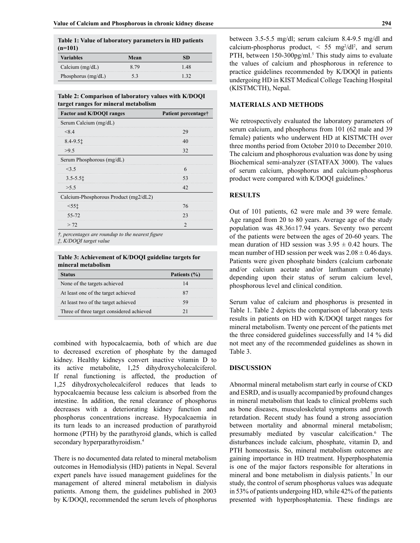| Table 1: Value of laboratory parameters in HD patients |      |           |  |  |
|--------------------------------------------------------|------|-----------|--|--|
| $(n=101)$                                              |      |           |  |  |
| <b>Variables</b>                                       | Mean | <b>SD</b> |  |  |

| <b>variables</b>     | <b>Nean</b> | 81  |
|----------------------|-------------|-----|
| Calcium $(mg/dL)$    |             | .48 |
| Phosphorus $(mg/dL)$ |             |     |

**Table 2: Comparison of laboratory values with K/DOQI target ranges for mineral metabolism**

| <b>Factor and K/DOQI ranges</b>       | Patient percentage† |
|---------------------------------------|---------------------|
| Serum Calcium (mg/dL)                 |                     |
| < 8.4                                 | σq<br>              |
| $8.4 - 9.51$                          |                     |
| >9.5                                  | 32                  |
| Serum Phosphorous (mg/dL)             |                     |
| 3.5                                   |                     |
| $3.5 - 5.51$                          | 53                  |
| > 5.5                                 | 42                  |
| Calcium-Phosphorous Product (mg2/dL2) |                     |
| $<$ 55†                               | 76                  |
| 55-72                                 | フ3                  |
| > 72                                  |                     |

*†, percentages are roundup to the nearest figure*

*‡, K/DOQI target value*

**Table 3: Achievement of K/DOQI guideline targets for mineral metabolism**

| tatus                                     | Patients (%) |
|-------------------------------------------|--------------|
| None of the targets achieved              |              |
| At least one of the target achieved       |              |
| At least two of the target achieved       |              |
| Three of three target considered achieved |              |

combined with hypocalcaemia, both of which are due to decreased excretion of phosphate by the damaged kidney. Healthy kidneys convert inactive vitamin D to its active metabolite, 1,25 dihydroxycholecalciferol. If renal functioning is affected, the production of 1,25 dihydroxycholecalciferol reduces that leads to hypocalcaemia because less calcium is absorbed from the intestine. In addition, the renal clearance of phosphorus decreases with a deteriorating kidney function and phosphorus concentrations increase. Hypocalcaemia in its turn leads to an increased production of parathyroid hormone (PTH) by the parathyroid glands, which is called secondary hyperparathyroidism.<sup>4</sup>

There is no documented data related to mineral metabolism outcomes in Hemodialysis (HD) patients in Nepal. Several expert panels have issued management guidelines for the management of altered mineral metabolism in dialysis patients. Among them, the guidelines published in 2003 by K/DOQI, recommended the serum levels of phosphorus between 3.5-5.5 mg/dl; serum calcium 8.4-9.5 mg/dl and calcium-phosphorus product,  $\leq$  55 mg<sup>2</sup>/dl<sup>2</sup>, and serum PTH, between 150-300pg/ml.<sup>5</sup> This study aims to evaluate the values of calcium and phosphorous in reference to practice guidelines recommended by K/DOQI in patients undergoing HD in KIST Medical College Teaching Hospital (KISTMCTH), Nepal.

## **MATERIALS AND METHODS**

We retrospectively evaluated the laboratory parameters of serum calcium, and phosphorus from 101 (62 male and 39 female) patients who underwent HD at KISTMCTH over three months period from October 2010 to December 2010. The calcium and phosphorous evaluation was done by using Biochemical semi-analyzer (STATFAX 3000). The values of serum calcium, phosphorus and calcium-phosphorus product were compared with K/DOQI guidelines.<sup>5</sup>

## **RESULTS**

Out of 101 patients, 62 were male and 39 were female. Age ranged from 20 to 80 years. Average age of the study population was 48.36±17.94 years. Seventy two percent of the patients were between the ages of 20-60 years. The mean duration of HD session was  $3.95 \pm 0.42$  hours. The mean number of HD session per week was  $2.08 \pm 0.46$  days. Patients were given phosphate binders (calcium carbonate and/or calcium acetate and/or lanthanum carbonate) depending upon their status of serum calcium level, phosphorous level and clinical condition.

Serum value of calcium and phosphorus is presented in Table 1. Table 2 depicts the comparison of laboratory tests results in patients on HD with K/DOQI target ranges for mineral metabolism. Twenty one percent of the patients met the three considered guidelines successfully and 14 % did not meet any of the recommended guidelines as shown in Table 3.

#### **DISCUSSION**

Abnormal mineral metabolism start early in course of CKD and ESRD, and is usually accompanied by profound changes in mineral metabolism that leads to clinical problems such as bone diseases, musculoskeletal symptoms and growth retardation. Recent study has found a strong association between mortality and abnormal mineral metabolism; presumably mediated by vascular calcification.6 The disturbances include calcium, phosphate, vitamin D, and PTH homeostasis. So, mineral metabolism outcomes are gaining importance in HD treatment. Hyperphosphatemia is one of the major factors responsible for alterations in mineral and bone metabolism in dialysis patients.<sup>7</sup> In our study, the control of serum phosphorus values was adequate in 53% of patients undergoing HD, while 42% of the patients presented with hyperphosphatemia. These findings are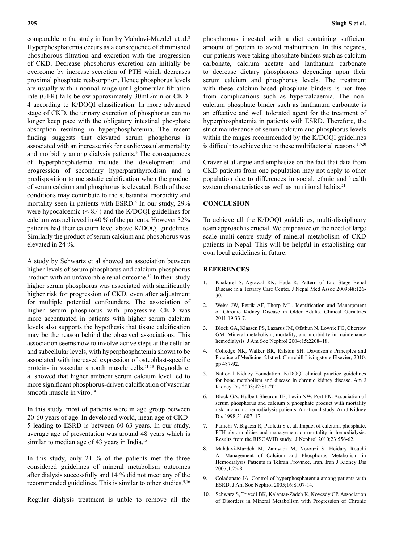comparable to the study in Iran by Mahdavi-Mazdeh et al.<sup>8</sup> Hyperphosphatemia occurs as a consequence of diminished phosphorous filtration and excretion with the progression of CKD. Decrease phosphorus excretion can initially be overcome by increase secretion of PTH which decreases proximal phosphate reabsorption. Hence phosphorus levels are usually within normal range until glomerular filtration rate (GFR) falls below approximately 30mL/min or CKD-4 according to K/DOQI classification. In more advanced stage of CKD, the urinary excretion of phosphorus can no longer keep pace with the obligatory intestinal phosphate absorption resulting in hyperphosphatemia. The recent finding suggests that elevated serum phosphorus is associated with an increase risk for cardiovascular mortality and morbidity among dialysis patients.<sup>9</sup> The consequences of hyperphosphatemia include the development and progression of secondary hyperparathyroidism and a predisposition to metastatic calcification when the product of serum calcium and phosphorus is elevated. Both of these conditions may contribute to the substantial morbidity and mortality seen in patients with ESRD.<sup>6</sup> In our study, 29% were hypocalcemic (< 8.4) and the K/DOQI guidelines for calcium was achieved in 40 % of the patients. However 32% patients had their calcium level above K/DOQI guidelines. Similarly the product of serum calcium and phosphorus was elevated in 24 %.

A study by Schwartz et al showed an association between higher levels of serum phosphorus and calcium-phosphorus product with an unfavorable renal outcome.<sup>10</sup> In their study higher serum phosphorus was associated with significantly higher risk for progression of CKD, even after adjustment for multiple potential confounders. The association of higher serum phosphorus with progressive CKD was more accentuated in patients with higher serum calcium levels also supports the hypothesis that tissue calcification may be the reason behind the observed associations. This association seems now to involve active steps at the cellular and subcellular levels, with hyperphosphatemia shown to be associated with increased expression of osteoblast-specific proteins in vascular smooth muscle cells.11-13 Reynolds et al showed that higher ambient serum calcium level led to more significant phosphorus-driven calcification of vascular smooth muscle in vitro.<sup>14</sup>

In this study, most of patients were in age group between 20-60 years of age. In developed world, mean age of CKD-5 leading to ESRD is between 60-63 years. In our study, average age of presentation was around 48 years which is similar to median age of 43 years in India.<sup>15</sup>

In this study, only 21 % of the patients met the three considered guidelines of mineral metabolism outcomes after dialysis successfully and 14 % did not meet any of the recommended guidelines. This is similar to other studies.<sup>9,16</sup>

Regular dialysis treatment is unble to remove all the

phosphorous ingested with a diet containing sufficient amount of protein to avoid malnutrition. In this regards, our patients were taking phosphate binders such as calcium carbonate, calcium acetate and lanthanum carbonate to decrease dietary phosphorous depending upon their serum calcium and phosphorus levels. The treatment with these calcium-based phosphate binders is not free from complications such as hypercalcaemia. The noncalcium phosphate binder such as lanthanum carbonate is an effective and well tolerated agent for the treatment of hyperphosphatemia in patients with ESRD. Therefore, the strict maintenance of serum calcium and phosphorus levels within the ranges recommended by the K/DOQI guidelines is difficult to achieve due to these multifactorial reasons.<sup>17-20</sup>

Craver et al argue and emphasize on the fact that data from CKD patients from one population may not apply to other population due to differences in social, ethnic and health system characteristics as well as nutritional habits.<sup>21</sup>

# **CONCLUSION**

To achieve all the K/DOQI guidelines, multi-disciplinary team approach is crucial. We emphasize on the need of large scale multi-centre study of mineral metabolism of CKD patients in Nepal. This will be helpful in establishing our own local guidelines in future.

#### **REFERENCES**

- 1. Khakurel S, Agrawal RK, Hada R. Pattern of End Stage Renal Disease in a Tertiary Care Center. J Nepal Med Assoc 2009;48:126- 30.
- 2. Weiss JW, Petrik AF, Thorp ML. Identification and Management of Chronic Kidney Disease in Older Adults. Clinical Geriatrics 2011;19:33-7.
- 3. Block GA, Klassen PS, Lazarus JM, Ofsthun N, Lowrie FG, Chertow GM. Mineral metabolism, mortality, and morbidity in maintenance hemodialysis. J Am Soc Nephrol 2004;15:2208–18.
- 4. Colledge NK, Walker BR, Ralston SH. Davidson's Principles and Practice of Medicine. 21st ed. Churchill Livingstone Elsevier; 2010. pp 487-92.
- 5. National Kidney Foundation. K/DOQI clinical practice guidelines for bone metabolism and disease in chronic kidney disease. Am J Kidney Dis 2003;42:S1-201.
- 6. Block GA, Hulbert-Shearon TE, Levin NW, Port FK. Association of serum phosphorus and calcium x phosphate product with mortality risk in chronic hemodialysis patients: A national study. Am J Kidney Dis 1998;31:607–17.
- 7. Panichi V, Bigazzi R, Paoletti S et al. Impact of calcium, phosphate, PTH abnormalities and management on mortality in hemodialysis: Results from the RISCAVID study. J Nephrol 2010;23:556-62.
- 8. Mahdavi-Mazdeh M, Zamyadi M, Norouzi S, Heidary Rouchi A. Management of Calcium and Phosphorus Metabolism in Hemodialysis Patients in Tehran Province, Iran. Iran J Kidney Dis 2007;1:25-8.
- 9. Coladonato JA. Control of hyperphosphatemia among patients with ESRD. J Am Soc Nephrol 2005;16:S107-14.
- 10. Schwarz S, Trivedi BK, Kalantar-Zadeh K, Kovesdy CP. Association of Disorders in Mineral Metabolism with Progression of Chronic